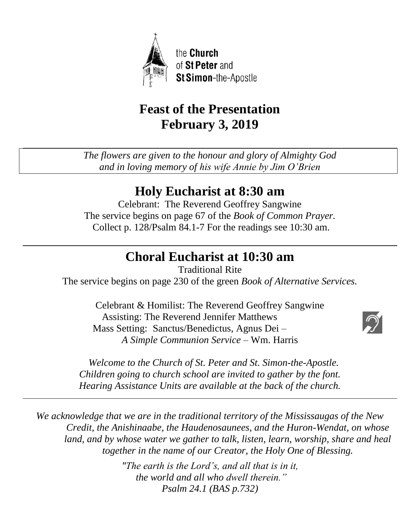

# **Feast of the Presentation February 3, 2019**

*The flowers are given to the honour and glory of Almighty God and in loving memory of his wife Annie by Jim O'Brien*

# **Holy Eucharist at 8:30 am**

Celebrant: The Reverend Geoffrey Sangwine The service begins on page 67 of the *Book of Common Prayer.* Collect p. 128/Psalm 84.1-7 For the readings see 10:30 am.

# **Choral Eucharist at 10:30 am**

Traditional Rite The service begins on page 230 of the green *Book of Alternative Services.*

Celebrant & Homilist: The Reverend Geoffrey Sangwine Assisting: The Reverend Jennifer Matthews Mass Setting: Sanctus/Benedictus, Agnus Dei – *A Simple Communion Service* – Wm. Harris



 *Welcome to the Church of St. Peter and St. Simon-the-Apostle. Children going to church school are invited to gather by the font. Hearing Assistance Units are available at the back of the church.*

*We acknowledge that we are in the traditional territory of the Mississaugas of the New Credit, the Anishinaabe, the Haudenosaunees, and the Huron-Wendat, on whose land, and by whose water we gather to talk, listen, learn, worship, share and heal together in the name of our Creator, the Holy One of Blessing.*

> *"The earth is the Lord's, and all that is in it, the world and all who dwell therein." Psalm 24.1 (BAS p.732)*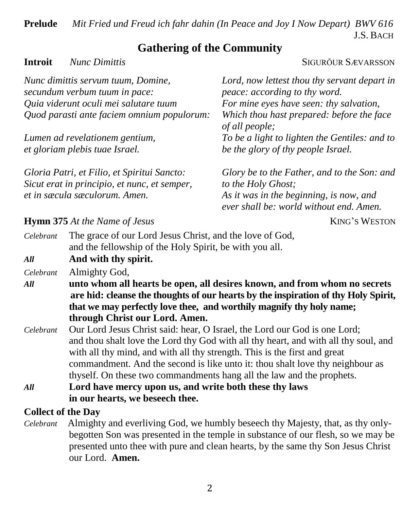**Prelude** *Mit Fried und Freud ich fahr dahin (In Peace and Joy I Now Depart) BWV 616* J.S. BACH

# **Gathering of the Community**

#### **Introit** *Nunc Dimittis* SIGURŎUR SÆVARSSON

| Lord, now lettest thou thy servant depart in<br>peace: according to thy word.                                                                           |
|---------------------------------------------------------------------------------------------------------------------------------------------------------|
| For mine eyes have seen: thy salvation,                                                                                                                 |
| Which thou hast prepared: before the face<br>of all people;                                                                                             |
| To be a light to lighten the Gentiles: and to                                                                                                           |
| be the glory of thy people Israel.                                                                                                                      |
| Glory be to the Father, and to the Son: and<br>to the Holy Ghost;<br>As it was in the beginning, is now, and<br>ever shall be: world without end. Amen. |
|                                                                                                                                                         |

#### **Hymn** 375 At the Name of Jesus **KING's WESTON**

| All       | And with thy spirit.                                     |
|-----------|----------------------------------------------------------|
|           | and the fellowship of the Holy Spirit, be with you all.  |
| Celebrant | The grace of our Lord Jesus Christ, and the love of God, |

*Celebrant* Almighty God,

- *All* **unto whom all hearts be open, all desires known, and from whom no secrets are hid: cleanse the thoughts of our hearts by the inspiration of thy Holy Spirit, that we may perfectly love thee, and worthily magnify thy holy name; through Christ our Lord. Amen.**
- *Celebrant* Our Lord Jesus Christ said: hear, O Israel, the Lord our God is one Lord; and thou shalt love the Lord thy God with all thy heart, and with all thy soul, and with all thy mind, and with all thy strength. This is the first and great commandment. And the second is like unto it: thou shalt love thy neighbour as thyself. On these two commandments hang all the law and the prophets.
- *All* **Lord have mercy upon us, and write both these thy laws in our hearts, we beseech thee.**

### **Collect of the Day**

*Celebrant* Almighty and everliving God, we humbly beseech thy Majesty, that, as thy onlybegotten Son was presented in the temple in substance of our flesh, so we may be presented unto thee with pure and clean hearts, by the same thy Son Jesus Christ our Lord. **Amen.**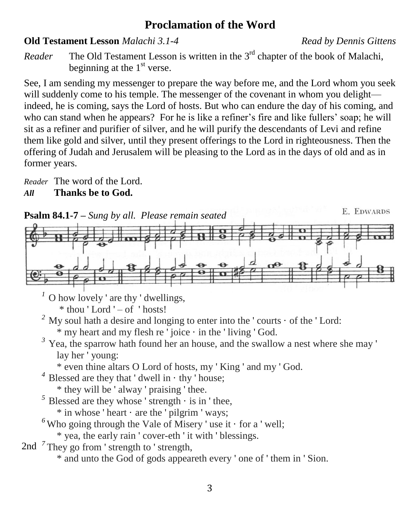# **Proclamation of the Word**

#### **Old Testament Lesson** *Malachi 3.1-4**Read by Dennis Gittens*

*Reader* The Old Testament Lesson is written in the 3<sup>rd</sup> chapter of the book of Malachi, beginning at the  $1<sup>st</sup>$  verse.

See, I am sending my messenger to prepare the way before me, and the Lord whom you seek will suddenly come to his temple. The messenger of the covenant in whom you delight indeed, he is coming, says the Lord of hosts. But who can endure the day of his coming, and who can stand when he appears? For he is like a refiner's fire and like fullers' soap; he will sit as a refiner and purifier of silver, and he will purify the descendants of Levi and refine them like gold and silver, until they present offerings to the Lord in righteousness. Then the offering of Judah and Jerusalem will be pleasing to the Lord as in the days of old and as in former years.

*Reader* The word of the Lord. *All* **Thanks be to God.**



 $<sup>1</sup>$  O how lovely ' are thy ' dwellings,</sup>

 $*$  thou 'Lord ' $-$  of 'hosts!

<sup>2</sup> My soul hath a desire and longing to enter into the 'courts  $\cdot$  of the 'Lord:  $*$  my heart and my flesh re ' joice  $\cdot$  in the ' living ' God.

- <sup>3</sup> Yea, the sparrow hath found her an house, and the swallow a nest where she may ' lay her ' young:
	- \* even thine altars O Lord of hosts, my ' King ' and my ' God.
- $4^4$  Blessed are they that ' dwell in  $\cdot$  thy ' house;

\* they will be ' alway ' praising ' thee.

- $<sup>5</sup>$  Blessed are they whose ' strength  $\cdot$  is in ' thee,</sup>
	- $*$  in whose ' heart  $\cdot$  are the ' pilgrim ' ways;
- $<sup>6</sup>$  Who going through the Vale of Misery ' use it  $\cdot$  for a ' well;</sup>
	- \* yea, the early rain ' cover-eth ' it with ' blessings.

2nd <sup>7</sup>They go from ' strength to ' strength,

\* and unto the God of gods appeareth every ' one of ' them in ' Sion.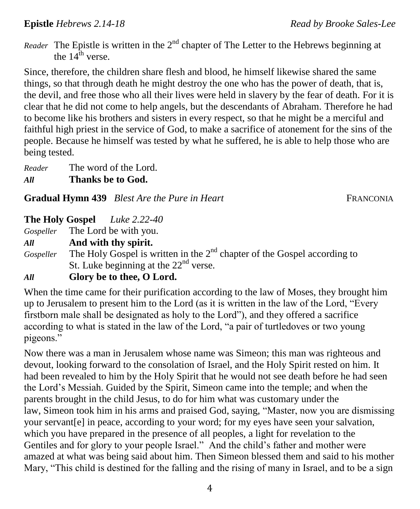*Reader* The Epistle is written in the  $2<sup>nd</sup>$  chapter of The Letter to the Hebrews beginning at the  $14^{\text{th}}$  verse.

Since, therefore, the children share flesh and blood, he himself likewise shared the same things, so that through death he might destroy the one who has the power of death, that is, the devil, and free those who all their lives were held in slavery by the fear of death. For it is clear that he did not come to help angels, but the descendants of Abraham. Therefore he had to become like his brothers and sisters in every respect, so that he might be a merciful and faithful high priest in the service of God, to make a sacrifice of atonement for the sins of the people. Because he himself was tested by what he suffered, he is able to help those who are being tested.

*Reader* The word of the Lord. *All* **Thanks be to God.**

**Gradual Hymn 439** *Blest Are the Pure in Heart* **FRANCONIA** 

#### **The Holy Gospel** *Luke 2.22-40*

*Gospeller* The Lord be with you.

*All* **And with thy spirit.**

Gospeller The Holy Gospel is written in the 2<sup>nd</sup> chapter of the Gospel according to St. Luke beginning at the  $22<sup>nd</sup>$  verse.

## *All* **Glory be to thee, O Lord.**

When the time came for their purification according to the law of Moses, they brought him up to Jerusalem to present him to the Lord (as it is written in the law of the Lord, "Every firstborn male shall be designated as holy to the Lord"), and they offered a sacrifice according to what is stated in the law of the Lord, "a pair of turtledoves or two young pigeons."

Now there was a man in Jerusalem whose name was Simeon; this man was righteous and devout, looking forward to the consolation of Israel, and the Holy Spirit rested on him. It had been revealed to him by the Holy Spirit that he would not see death before he had seen the Lord's Messiah. Guided by the Spirit, Simeon came into the temple; and when the parents brought in the child Jesus, to do for him what was customary under the law, Simeon took him in his arms and praised God, saying, "Master, now you are dismissing your servant[\[e\]](https://www.biblegateway.com/passage/?search=Luke+2%3A22-40&version=NRSV;NIV#fen-NRSV-24995e) in peace, according to your word; for my eyes have seen your salvation, which you have prepared in the presence of all peoples, a light for revelation to the Gentiles and for glory to your people Israel." And the child's father and mother were amazed at what was being said about him. Then Simeon blessed them and said to his mother Mary, "This child is destined for the falling and the rising of many in Israel, and to be a sign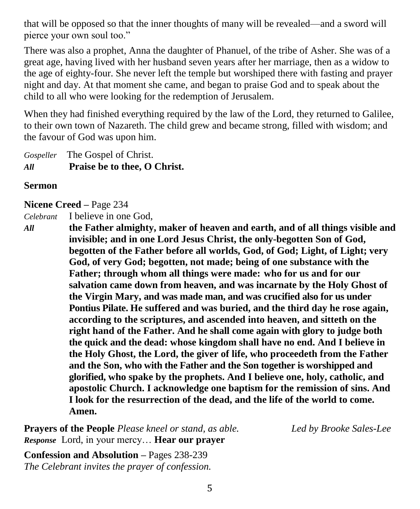that will be opposed so that the inner thoughts of many will be revealed—and a sword will pierce your own soul too."

There was also a prophet, Anna the daughter of Phanuel, of the tribe of Asher. She was of a great age, having lived with her husband seven years after her marriage, then as a widow to the age of eighty-four. She never left the temple but worshiped there with fasting and prayer night and day. At that moment she came, and began to praise God and to speak about the child to all who were looking for the redemption of Jerusalem.

When they had finished everything required by the law of the Lord, they returned to Galilee, to their own town of Nazareth. The child grew and became strong, filled with wisdom; and the favour of God was upon him.

*Gospeller* The Gospel of Christ. *All* **Praise be to thee, O Christ.**

#### **Sermon**

#### **Nicene Creed –** Page 234

*Celebrant* I believe in one God,

*All* **the Father almighty, maker of heaven and earth, and of all things visible and invisible; and in one Lord Jesus Christ, the only-begotten Son of God, begotten of the Father before all worlds, God, of God; Light, of Light; very God, of very God; begotten, not made; being of one substance with the Father; through whom all things were made: who for us and for our salvation came down from heaven, and was incarnate by the Holy Ghost of the Virgin Mary, and was made man, and was crucified also for us under Pontius Pilate. He suffered and was buried, and the third day he rose again, according to the scriptures, and ascended into heaven, and sitteth on the right hand of the Father. And he shall come again with glory to judge both the quick and the dead: whose kingdom shall have no end. And I believe in the Holy Ghost, the Lord, the giver of life, who proceedeth from the Father and the Son, who with the Father and the Son together is worshipped and glorified, who spake by the prophets. And I believe one, holy, catholic, and apostolic Church. I acknowledge one baptism for the remission of sins. And I look for the resurrection of the dead, and the life of the world to come. Amen.**

**Prayers of the People** *Please kneel or stand, as able. Led by Brooke Sales-Lee Response* Lord, in your mercy… **Hear our prayer**

**Confession and Absolution –** Pages 238-239 *The Celebrant invites the prayer of confession.*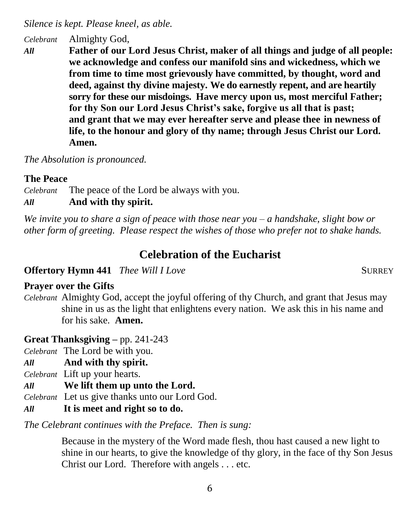*Silence is kept. Please kneel, as able.*

*Celebrant* Almighty God,

*All* **Father of our Lord Jesus Christ, maker of all things and judge of all people: we acknowledge and confess our manifold sins and wickedness, which we from time to time most grievously have committed, by thought, word and deed, against thy divine majesty. We do earnestly repent, and are heartily sorry for these our misdoings. Have mercy upon us, most merciful Father; for thy Son our Lord Jesus Christ's sake, forgive us all that is past; and grant that we may ever hereafter serve and please thee in newness of life, to the honour and glory of thy name; through Jesus Christ our Lord. Amen.**

*The Absolution is pronounced.*

#### **The Peace**

*Celebrant* The peace of the Lord be always with you.

*All* **And with thy spirit.**

*We invite you to share a sign of peace with those near you – a handshake, slight bow or other form of greeting. Please respect the wishes of those who prefer not to shake hands.*

# **Celebration of the Eucharist**

**Offertory Hymn 441** Thee Will I Love **SURREY** 

### **Prayer over the Gifts**

*Celebrant* Almighty God, accept the joyful offering of thy Church, and grant that Jesus may shine in us as the light that enlightens every nation. We ask this in his name and for his sake. **Amen.**

# **Great Thanksgiving –** pp. 241-243

*Celebrant* The Lord be with you.

- *All* **And with thy spirit.**
- *Celebrant* Lift up your hearts.
- *All* **We lift them up unto the Lord.**

*Celebrant* Let us give thanks unto our Lord God.

*All* **It is meet and right so to do.**

*The Celebrant continues with the Preface. Then is sung:*

Because in the mystery of the Word made flesh, thou hast caused a new light to shine in our hearts, to give the knowledge of thy glory, in the face of thy Son Jesus Christ our Lord. Therefore with angels . . . etc.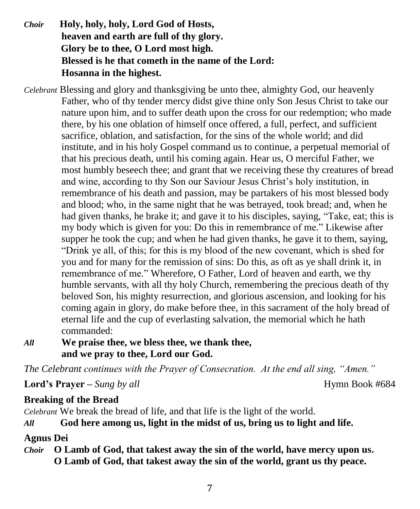- *Choir* **Holy, holy, holy, Lord God of Hosts, heaven and earth are full of thy glory. Glory be to thee, O Lord most high. Blessed is he that cometh in the name of the Lord: Hosanna in the highest.**
- *Celebrant* Blessing and glory and thanksgiving be unto thee, almighty God, our heavenly Father, who of thy tender mercy didst give thine only Son Jesus Christ to take our nature upon him, and to suffer death upon the cross for our redemption; who made there, by his one oblation of himself once offered, a full, perfect, and sufficient sacrifice, oblation, and satisfaction, for the sins of the whole world; and did institute, and in his holy Gospel command us to continue, a perpetual memorial of that his precious death, until his coming again. Hear us, O merciful Father, we most humbly beseech thee; and grant that we receiving these thy creatures of bread and wine, according to thy Son our Saviour Jesus Christ's holy institution, in remembrance of his death and passion, may be partakers of his most blessed body and blood; who, in the same night that he was betrayed, took bread; and, when he had given thanks, he brake it; and gave it to his disciples, saying, "Take, eat; this is my body which is given for you: Do this in remembrance of me." Likewise after supper he took the cup; and when he had given thanks, he gave it to them, saying, "Drink ye all, of this; for this is my blood of the new covenant, which is shed for you and for many for the remission of sins: Do this, as oft as ye shall drink it, in remembrance of me." Wherefore, O Father, Lord of heaven and earth, we thy humble servants, with all thy holy Church, remembering the precious death of thy beloved Son, his mighty resurrection, and glorious ascension, and looking for his coming again in glory, do make before thee, in this sacrament of the holy bread of eternal life and the cup of everlasting salvation, the memorial which he hath commanded:

#### *All* **We praise thee, we bless thee, we thank thee, and we pray to thee, Lord our God.**

*The Celebrant continues with the Prayer of Consecration. At the end all sing, "Amen."*

**Lord's Prayer –** *Sung by all* **here** *Hymn Book #684* 

# **Breaking of the Bread**

*Celebrant* We break the bread of life, and that life is the light of the world.

# *All* **God here among us, light in the midst of us, bring us to light and life.**

# **Agnus Dei**

*Choir* **O Lamb of God, that takest away the sin of the world, have mercy upon us. O Lamb of God, that takest away the sin of the world, grant us thy peace.**